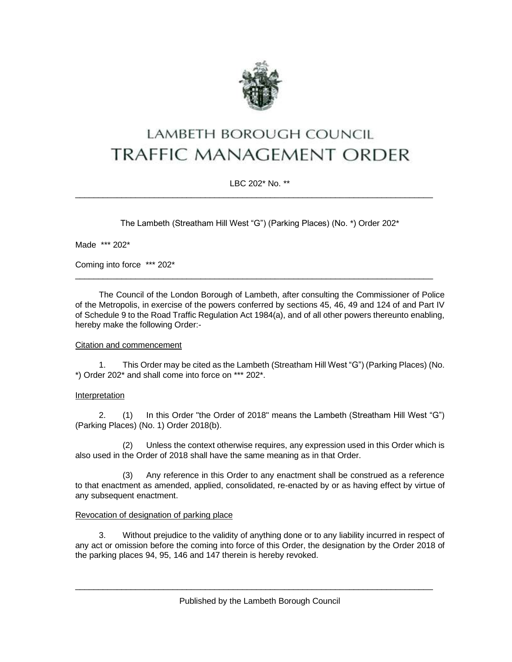

# LAMBETH BOROUGH COUNCIL **TRAFFIC MANAGEMENT ORDER**

## LBC 202\* No. \*\*

\_\_\_\_\_\_\_\_\_\_\_\_\_\_\_\_\_\_\_\_\_\_\_\_\_\_\_\_\_\_\_\_\_\_\_\_\_\_\_\_\_\_\_\_\_\_\_\_\_\_\_\_\_\_\_\_\_\_\_\_\_\_\_\_\_\_\_\_\_\_\_\_\_\_\_\_\_

The Lambeth (Streatham Hill West "G") (Parking Places) (No. \*) Order 202\*

Made \*\*\* 202\*

Coming into force \*\*\* 202\*

The Council of the London Borough of Lambeth, after consulting the Commissioner of Police of the Metropolis, in exercise of the powers conferred by sections 45, 46, 49 and 124 of and Part IV of Schedule 9 to the Road Traffic Regulation Act 1984(a), and of all other powers thereunto enabling, hereby make the following Order:-

\_\_\_\_\_\_\_\_\_\_\_\_\_\_\_\_\_\_\_\_\_\_\_\_\_\_\_\_\_\_\_\_\_\_\_\_\_\_\_\_\_\_\_\_\_\_\_\_\_\_\_\_\_\_\_\_\_\_\_\_\_\_\_\_\_\_\_\_\_\_\_\_\_\_\_\_\_

## Citation and commencement

1. This Order may be cited as the Lambeth (Streatham Hill West "G") (Parking Places) (No. \*) Order 202\* and shall come into force on \*\*\* 202\*.

## Interpretation

2. (1) In this Order "the Order of 2018" means the Lambeth (Streatham Hill West "G") (Parking Places) (No. 1) Order 2018(b).

(2) Unless the context otherwise requires, any expression used in this Order which is also used in the Order of 2018 shall have the same meaning as in that Order.

(3) Any reference in this Order to any enactment shall be construed as a reference to that enactment as amended, applied, consolidated, re-enacted by or as having effect by virtue of any subsequent enactment.

#### Revocation of designation of parking place

3. Without prejudice to the validity of anything done or to any liability incurred in respect of any act or omission before the coming into force of this Order, the designation by the Order 2018 of the parking places 94, 95, 146 and 147 therein is hereby revoked.

Published by the Lambeth Borough Council

 $\_$  ,  $\_$  ,  $\_$  ,  $\_$  ,  $\_$  ,  $\_$  ,  $\_$  ,  $\_$  ,  $\_$  ,  $\_$  ,  $\_$  ,  $\_$  ,  $\_$  ,  $\_$  ,  $\_$  ,  $\_$  ,  $\_$  ,  $\_$  ,  $\_$  ,  $\_$  ,  $\_$  ,  $\_$  ,  $\_$  ,  $\_$  ,  $\_$  ,  $\_$  ,  $\_$  ,  $\_$  ,  $\_$  ,  $\_$  ,  $\_$  ,  $\_$  ,  $\_$  ,  $\_$  ,  $\_$  ,  $\_$  ,  $\_$  ,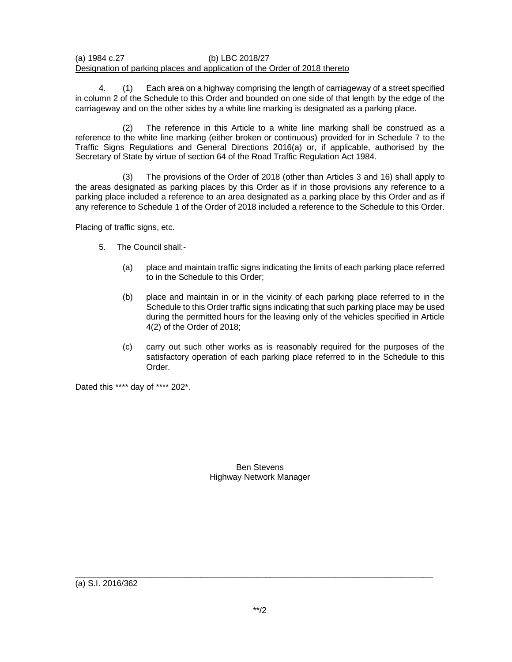### (a) 1984 c.27 (b) LBC 2018/27 Designation of parking places and application of the Order of 2018 thereto

4. (1) Each area on a highway comprising the length of carriageway of a street specified in column 2 of the Schedule to this Order and bounded on one side of that length by the edge of the carriageway and on the other sides by a white line marking is designated as a parking place.

(2) The reference in this Article to a white line marking shall be construed as a reference to the white line marking (either broken or continuous) provided for in Schedule 7 to the Traffic Signs Regulations and General Directions 2016(a) or, if applicable, authorised by the Secretary of State by virtue of section 64 of the Road Traffic Regulation Act 1984.

(3) The provisions of the Order of 2018 (other than Articles 3 and 16) shall apply to the areas designated as parking places by this Order as if in those provisions any reference to a parking place included a reference to an area designated as a parking place by this Order and as if any reference to Schedule 1 of the Order of 2018 included a reference to the Schedule to this Order.

Placing of traffic signs, etc.

- 5. The Council shall:-
	- (a) place and maintain traffic signs indicating the limits of each parking place referred to in the Schedule to this Order;
	- (b) place and maintain in or in the vicinity of each parking place referred to in the Schedule to this Order traffic signs indicating that such parking place may be used during the permitted hours for the leaving only of the vehicles specified in Article 4(2) of the Order of 2018;
	- (c) carry out such other works as is reasonably required for the purposes of the satisfactory operation of each parking place referred to in the Schedule to this Order.

Dated this \*\*\*\* day of \*\*\*\* 202\*.

Ben Stevens Highway Network Manager

(a) S.I. 2016/362

\_\_\_\_\_\_\_\_\_\_\_\_\_\_\_\_\_\_\_\_\_\_\_\_\_\_\_\_\_\_\_\_\_\_\_\_\_\_\_\_\_\_\_\_\_\_\_\_\_\_\_\_\_\_\_\_\_\_\_\_\_\_\_\_\_\_\_\_\_\_\_\_\_\_\_\_\_